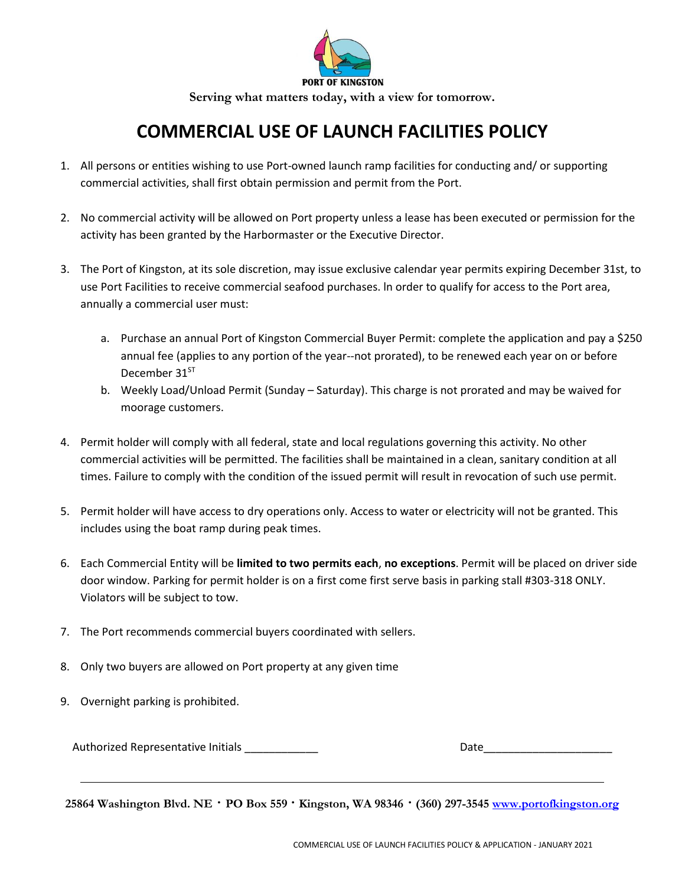

**Serving what matters today, with a view for tomorrow.** 

## **COMMERCIAL USE OF LAUNCH FACILITIES POLICY**

- 1. All persons or entities wishing to use Port-owned launch ramp facilities for conducting and/ or supporting commercial activities, shall first obtain permission and permit from the Port.
- 2. No commercial activity will be allowed on Port property unless a lease has been executed or permission for the activity has been granted by the Harbormaster or the Executive Director.
- 3. The Port of Kingston, at its sole discretion, may issue exclusive calendar year permits expiring December 31st, to use Port Facilities to receive commercial seafood purchases. ln order to qualify for access to the Port area, annually a commercial user must:
	- a. Purchase an annual Port of Kingston Commercial Buyer Permit: complete the application and pay a \$250 annual fee (applies to any portion of the year--not prorated), to be renewed each year on or before December 31<sup>ST</sup>
	- b. Weekly Load/Unload Permit (Sunday Saturday). This charge is not prorated and may be waived for moorage customers.
- 4. Permit holder will comply with all federal, state and local regulations governing this activity. No other commercial activities will be permitted. The facilities shall be maintained in a clean, sanitary condition at all times. Failure to comply with the condition of the issued permit will result in revocation of such use permit.
- 5. Permit holder will have access to dry operations only. Access to water or electricity will not be granted. This includes using the boat ramp during peak times.
- 6. Each Commercial Entity will be **limited to two permits each**, **no exceptions**. Permit will be placed on driver side door window. Parking for permit holder is on a first come first serve basis in parking stall #303-318 ONLY. Violators will be subject to tow.
- 7. The Port recommends commercial buyers coordinated with sellers.
- 8. Only two buyers are allowed on Port property at any given time
- 9. Overnight parking is prohibited.

Authorized Representative Initials **Data Contains Containers** Data Contains Data Contains Data Contains Data Con

**25864 Washington Blvd. NE · PO Box 559 · Kingston, WA 98346 · (360) 297-3545 [www.portofkingston.org](http://www.portofkingston.org/)**